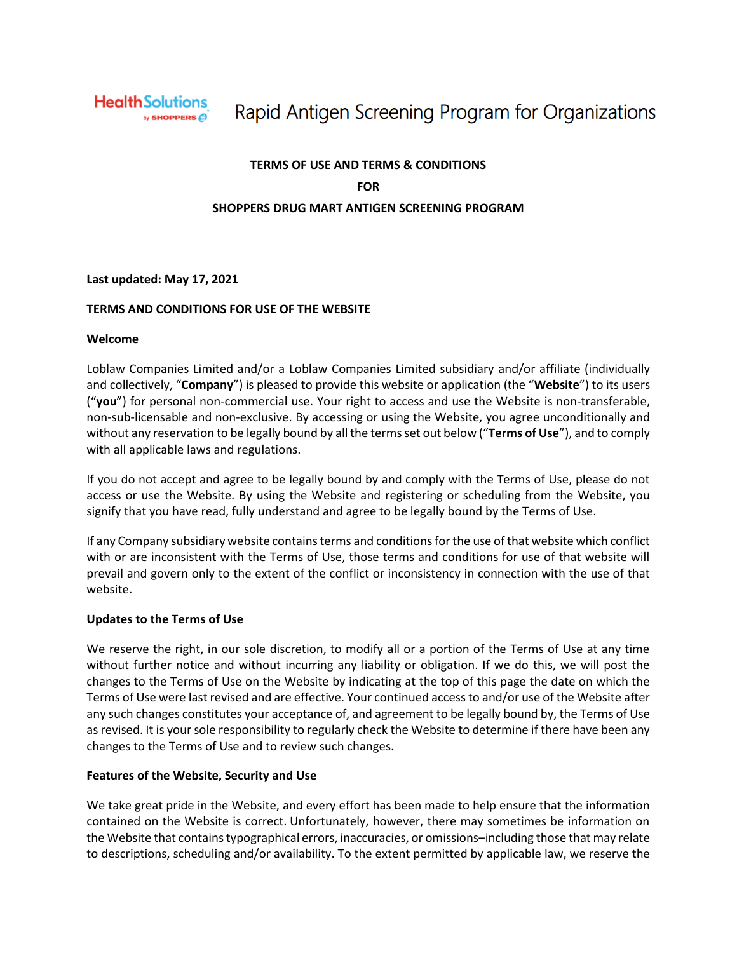

# Rapid Antigen Screening Program for Organizations

# **TERMS OF USE AND TERMS & CONDITIONS FOR SHOPPERS DRUG MART ANTIGEN SCREENING PROGRAM**

#### **Last updated: May 17, 2021**

#### **TERMS AND CONDITIONS FOR USE OF THE WEBSITE**

#### **Welcome**

Loblaw Companies Limited and/or a Loblaw Companies Limited subsidiary and/or affiliate (individually and collectively, "**Company**") is pleased to provide this website or application (the "**Website**") to its users ("**you**") for personal non-commercial use. Your right to access and use the Website is non-transferable, non-sub-licensable and non-exclusive. By accessing or using the Website, you agree unconditionally and without any reservation to be legally bound by all the terms set out below ("**Terms of Use**"), and to comply with all applicable laws and regulations.

If you do not accept and agree to be legally bound by and comply with the Terms of Use, please do not access or use the Website. By using the Website and registering or scheduling from the Website, you signify that you have read, fully understand and agree to be legally bound by the Terms of Use.

If any Company subsidiary website contains terms and conditions for the use of that website which conflict with or are inconsistent with the Terms of Use, those terms and conditions for use of that website will prevail and govern only to the extent of the conflict or inconsistency in connection with the use of that website.

# **Updates to the Terms of Use**

We reserve the right, in our sole discretion, to modify all or a portion of the Terms of Use at any time without further notice and without incurring any liability or obligation. If we do this, we will post the changes to the Terms of Use on the Website by indicating at the top of this page the date on which the Terms of Use were last revised and are effective. Your continued access to and/or use of the Website after any such changes constitutes your acceptance of, and agreement to be legally bound by, the Terms of Use as revised. It is your sole responsibility to regularly check the Website to determine if there have been any changes to the Terms of Use and to review such changes.

# **Features of the Website, Security and Use**

We take great pride in the Website, and every effort has been made to help ensure that the information contained on the Website is correct. Unfortunately, however, there may sometimes be information on the Website that contains typographical errors, inaccuracies, or omissions–including those that may relate to descriptions, scheduling and/or availability. To the extent permitted by applicable law, we reserve the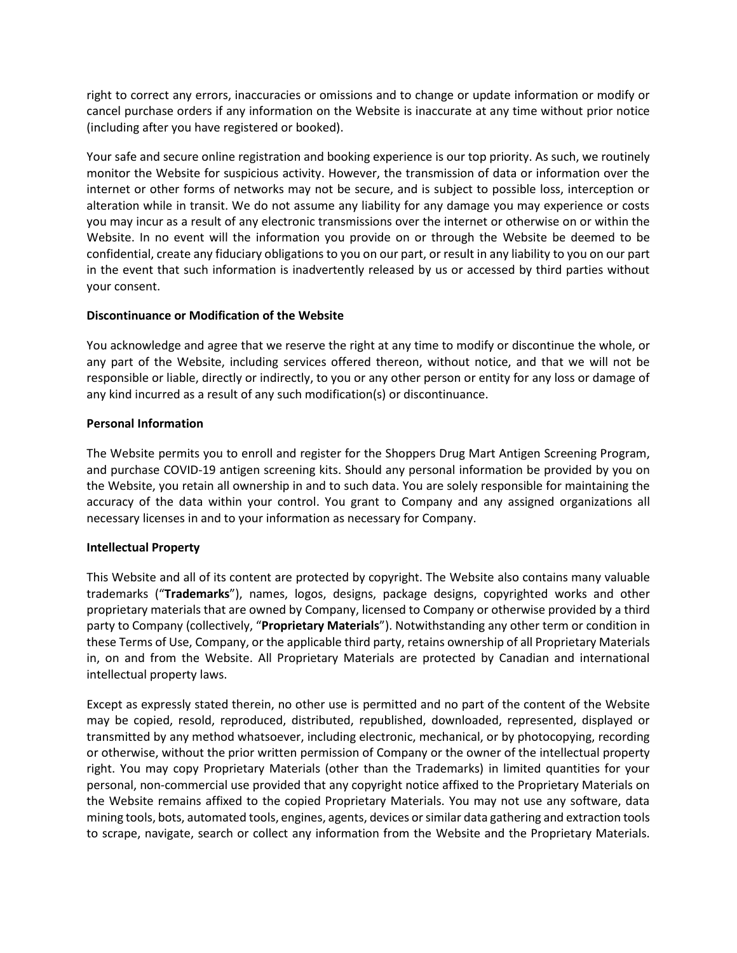right to correct any errors, inaccuracies or omissions and to change or update information or modify or cancel purchase orders if any information on the Website is inaccurate at any time without prior notice (including after you have registered or booked).

Your safe and secure online registration and booking experience is our top priority. As such, we routinely monitor the Website for suspicious activity. However, the transmission of data or information over the internet or other forms of networks may not be secure, and is subject to possible loss, interception or alteration while in transit. We do not assume any liability for any damage you may experience or costs you may incur as a result of any electronic transmissions over the internet or otherwise on or within the Website. In no event will the information you provide on or through the Website be deemed to be confidential, create any fiduciary obligations to you on our part, or result in any liability to you on our part in the event that such information is inadvertently released by us or accessed by third parties without your consent.

# **Discontinuance or Modification of the Website**

You acknowledge and agree that we reserve the right at any time to modify or discontinue the whole, or any part of the Website, including services offered thereon, without notice, and that we will not be responsible or liable, directly or indirectly, to you or any other person or entity for any loss or damage of any kind incurred as a result of any such modification(s) or discontinuance.

#### **Personal Information**

The Website permits you to enroll and register for the Shoppers Drug Mart Antigen Screening Program, and purchase COVID-19 antigen screening kits. Should any personal information be provided by you on the Website, you retain all ownership in and to such data. You are solely responsible for maintaining the accuracy of the data within your control. You grant to Company and any assigned organizations all necessary licenses in and to your information as necessary for Company.

# **Intellectual Property**

This Website and all of its content are protected by copyright. The Website also contains many valuable trademarks ("**Trademarks**"), names, logos, designs, package designs, copyrighted works and other proprietary materials that are owned by Company, licensed to Company or otherwise provided by a third party to Company (collectively, "**Proprietary Materials**"). Notwithstanding any other term or condition in these Terms of Use, Company, or the applicable third party, retains ownership of all Proprietary Materials in, on and from the Website. All Proprietary Materials are protected by Canadian and international intellectual property laws.

Except as expressly stated therein, no other use is permitted and no part of the content of the Website may be copied, resold, reproduced, distributed, republished, downloaded, represented, displayed or transmitted by any method whatsoever, including electronic, mechanical, or by photocopying, recording or otherwise, without the prior written permission of Company or the owner of the intellectual property right. You may copy Proprietary Materials (other than the Trademarks) in limited quantities for your personal, non-commercial use provided that any copyright notice affixed to the Proprietary Materials on the Website remains affixed to the copied Proprietary Materials. You may not use any software, data mining tools, bots, automated tools, engines, agents, devices or similar data gathering and extraction tools to scrape, navigate, search or collect any information from the Website and the Proprietary Materials.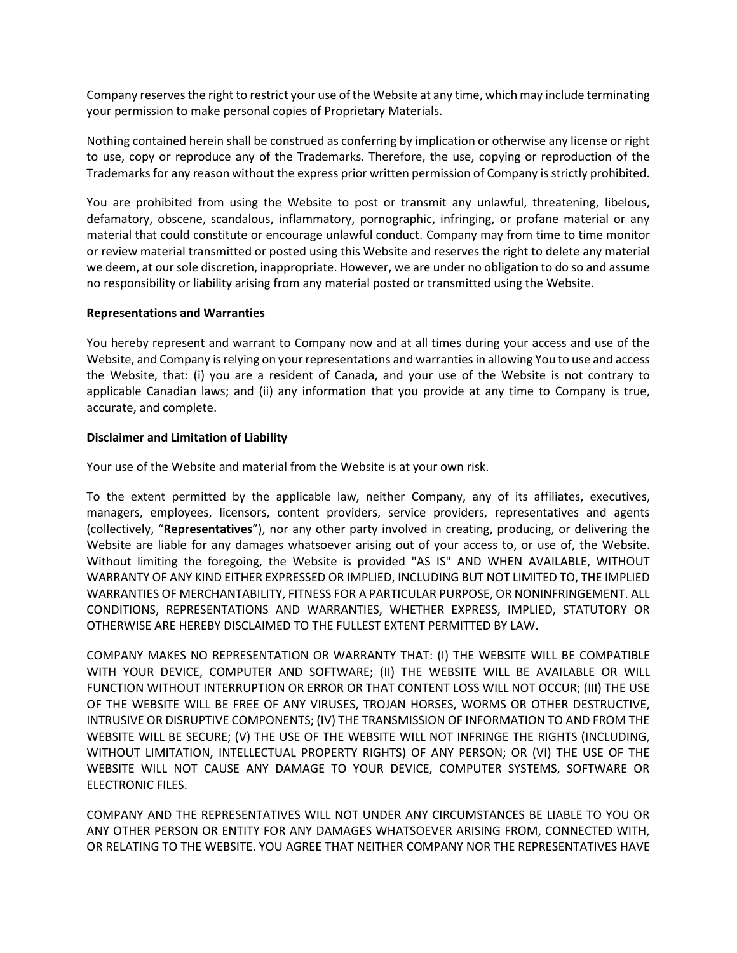Company reserves the right to restrict your use of the Website at any time, which may include terminating your permission to make personal copies of Proprietary Materials.

Nothing contained herein shall be construed as conferring by implication or otherwise any license or right to use, copy or reproduce any of the Trademarks. Therefore, the use, copying or reproduction of the Trademarks for any reason without the express prior written permission of Company is strictly prohibited.

You are prohibited from using the Website to post or transmit any unlawful, threatening, libelous, defamatory, obscene, scandalous, inflammatory, pornographic, infringing, or profane material or any material that could constitute or encourage unlawful conduct. Company may from time to time monitor or review material transmitted or posted using this Website and reserves the right to delete any material we deem, at our sole discretion, inappropriate. However, we are under no obligation to do so and assume no responsibility or liability arising from any material posted or transmitted using the Website.

#### **Representations and Warranties**

You hereby represent and warrant to Company now and at all times during your access and use of the Website, and Company is relying on your representations and warranties in allowing You to use and access the Website, that: (i) you are a resident of Canada, and your use of the Website is not contrary to applicable Canadian laws; and (ii) any information that you provide at any time to Company is true, accurate, and complete.

#### **Disclaimer and Limitation of Liability**

Your use of the Website and material from the Website is at your own risk.

To the extent permitted by the applicable law, neither Company, any of its affiliates, executives, managers, employees, licensors, content providers, service providers, representatives and agents (collectively, "**Representatives**"), nor any other party involved in creating, producing, or delivering the Website are liable for any damages whatsoever arising out of your access to, or use of, the Website. Without limiting the foregoing, the Website is provided "AS IS" AND WHEN AVAILABLE, WITHOUT WARRANTY OF ANY KIND EITHER EXPRESSED OR IMPLIED, INCLUDING BUT NOT LIMITED TO, THE IMPLIED WARRANTIES OF MERCHANTABILITY, FITNESS FOR A PARTICULAR PURPOSE, OR NONINFRINGEMENT. ALL CONDITIONS, REPRESENTATIONS AND WARRANTIES, WHETHER EXPRESS, IMPLIED, STATUTORY OR OTHERWISE ARE HEREBY DISCLAIMED TO THE FULLEST EXTENT PERMITTED BY LAW.

COMPANY MAKES NO REPRESENTATION OR WARRANTY THAT: (I) THE WEBSITE WILL BE COMPATIBLE WITH YOUR DEVICE, COMPUTER AND SOFTWARE; (II) THE WEBSITE WILL BE AVAILABLE OR WILL FUNCTION WITHOUT INTERRUPTION OR ERROR OR THAT CONTENT LOSS WILL NOT OCCUR; (III) THE USE OF THE WEBSITE WILL BE FREE OF ANY VIRUSES, TROJAN HORSES, WORMS OR OTHER DESTRUCTIVE, INTRUSIVE OR DISRUPTIVE COMPONENTS; (IV) THE TRANSMISSION OF INFORMATION TO AND FROM THE WEBSITE WILL BE SECURE; (V) THE USE OF THE WEBSITE WILL NOT INFRINGE THE RIGHTS (INCLUDING, WITHOUT LIMITATION, INTELLECTUAL PROPERTY RIGHTS) OF ANY PERSON; OR (VI) THE USE OF THE WEBSITE WILL NOT CAUSE ANY DAMAGE TO YOUR DEVICE, COMPUTER SYSTEMS, SOFTWARE OR ELECTRONIC FILES.

COMPANY AND THE REPRESENTATIVES WILL NOT UNDER ANY CIRCUMSTANCES BE LIABLE TO YOU OR ANY OTHER PERSON OR ENTITY FOR ANY DAMAGES WHATSOEVER ARISING FROM, CONNECTED WITH, OR RELATING TO THE WEBSITE. YOU AGREE THAT NEITHER COMPANY NOR THE REPRESENTATIVES HAVE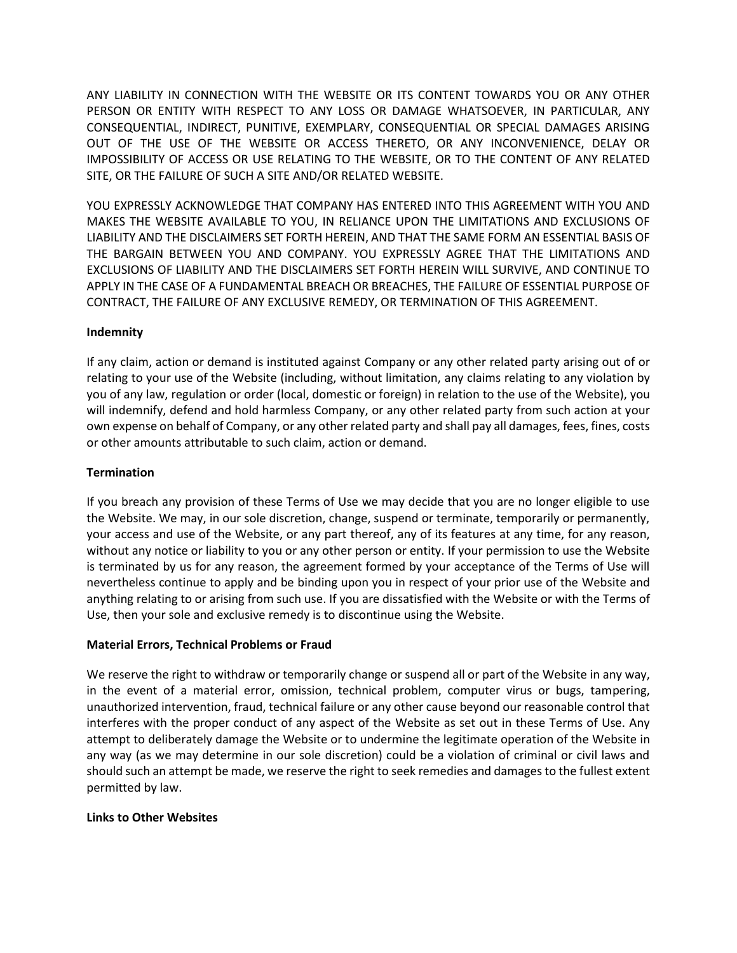ANY LIABILITY IN CONNECTION WITH THE WEBSITE OR ITS CONTENT TOWARDS YOU OR ANY OTHER PERSON OR ENTITY WITH RESPECT TO ANY LOSS OR DAMAGE WHATSOEVER, IN PARTICULAR, ANY CONSEQUENTIAL, INDIRECT, PUNITIVE, EXEMPLARY, CONSEQUENTIAL OR SPECIAL DAMAGES ARISING OUT OF THE USE OF THE WEBSITE OR ACCESS THERETO, OR ANY INCONVENIENCE, DELAY OR IMPOSSIBILITY OF ACCESS OR USE RELATING TO THE WEBSITE, OR TO THE CONTENT OF ANY RELATED SITE, OR THE FAILURE OF SUCH A SITE AND/OR RELATED WEBSITE.

YOU EXPRESSLY ACKNOWLEDGE THAT COMPANY HAS ENTERED INTO THIS AGREEMENT WITH YOU AND MAKES THE WEBSITE AVAILABLE TO YOU, IN RELIANCE UPON THE LIMITATIONS AND EXCLUSIONS OF LIABILITY AND THE DISCLAIMERS SET FORTH HEREIN, AND THAT THE SAME FORM AN ESSENTIAL BASIS OF THE BARGAIN BETWEEN YOU AND COMPANY. YOU EXPRESSLY AGREE THAT THE LIMITATIONS AND EXCLUSIONS OF LIABILITY AND THE DISCLAIMERS SET FORTH HEREIN WILL SURVIVE, AND CONTINUE TO APPLY IN THE CASE OF A FUNDAMENTAL BREACH OR BREACHES, THE FAILURE OF ESSENTIAL PURPOSE OF CONTRACT, THE FAILURE OF ANY EXCLUSIVE REMEDY, OR TERMINATION OF THIS AGREEMENT.

# **Indemnity**

If any claim, action or demand is instituted against Company or any other related party arising out of or relating to your use of the Website (including, without limitation, any claims relating to any violation by you of any law, regulation or order (local, domestic or foreign) in relation to the use of the Website), you will indemnify, defend and hold harmless Company, or any other related party from such action at your own expense on behalf of Company, or any other related party and shall pay all damages, fees, fines, costs or other amounts attributable to such claim, action or demand.

# **Termination**

If you breach any provision of these Terms of Use we may decide that you are no longer eligible to use the Website. We may, in our sole discretion, change, suspend or terminate, temporarily or permanently, your access and use of the Website, or any part thereof, any of its features at any time, for any reason, without any notice or liability to you or any other person or entity. If your permission to use the Website is terminated by us for any reason, the agreement formed by your acceptance of the Terms of Use will nevertheless continue to apply and be binding upon you in respect of your prior use of the Website and anything relating to or arising from such use. If you are dissatisfied with the Website or with the Terms of Use, then your sole and exclusive remedy is to discontinue using the Website.

# **Material Errors, Technical Problems or Fraud**

We reserve the right to withdraw or temporarily change or suspend all or part of the Website in any way, in the event of a material error, omission, technical problem, computer virus or bugs, tampering, unauthorized intervention, fraud, technical failure or any other cause beyond our reasonable control that interferes with the proper conduct of any aspect of the Website as set out in these Terms of Use. Any attempt to deliberately damage the Website or to undermine the legitimate operation of the Website in any way (as we may determine in our sole discretion) could be a violation of criminal or civil laws and should such an attempt be made, we reserve the right to seek remedies and damages to the fullest extent permitted by law.

# **Links to Other Websites**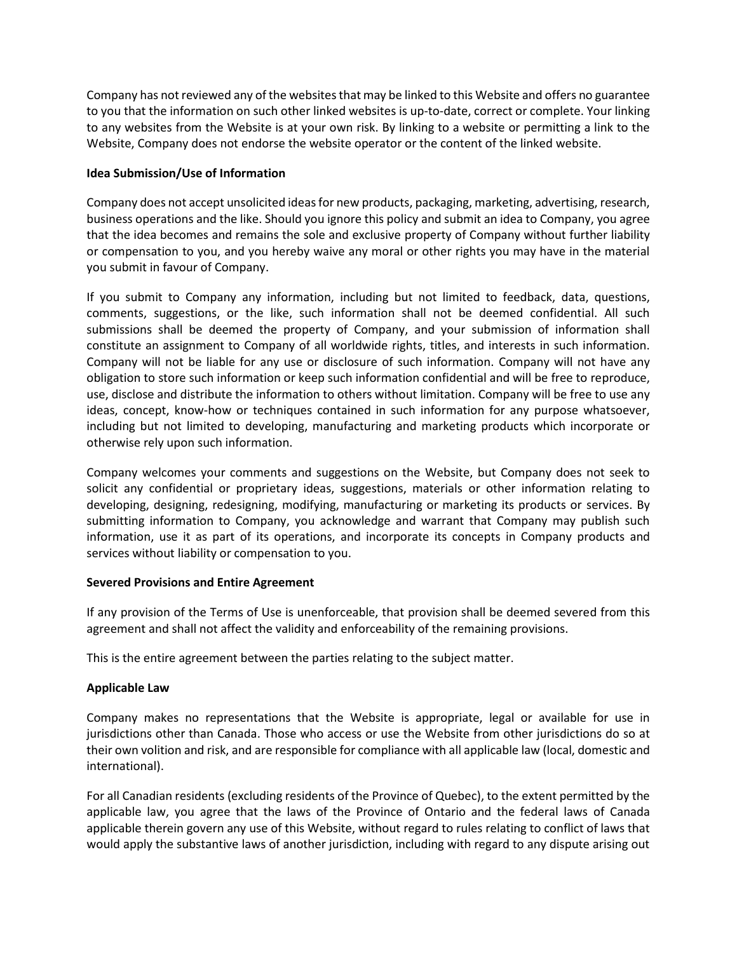Company has not reviewed any of the websites that may be linked to this Website and offers no guarantee to you that the information on such other linked websites is up-to-date, correct or complete. Your linking to any websites from the Website is at your own risk. By linking to a website or permitting a link to the Website, Company does not endorse the website operator or the content of the linked website.

# **Idea Submission/Use of Information**

Company does not accept unsolicited ideas for new products, packaging, marketing, advertising, research, business operations and the like. Should you ignore this policy and submit an idea to Company, you agree that the idea becomes and remains the sole and exclusive property of Company without further liability or compensation to you, and you hereby waive any moral or other rights you may have in the material you submit in favour of Company.

If you submit to Company any information, including but not limited to feedback, data, questions, comments, suggestions, or the like, such information shall not be deemed confidential. All such submissions shall be deemed the property of Company, and your submission of information shall constitute an assignment to Company of all worldwide rights, titles, and interests in such information. Company will not be liable for any use or disclosure of such information. Company will not have any obligation to store such information or keep such information confidential and will be free to reproduce, use, disclose and distribute the information to others without limitation. Company will be free to use any ideas, concept, know-how or techniques contained in such information for any purpose whatsoever, including but not limited to developing, manufacturing and marketing products which incorporate or otherwise rely upon such information.

Company welcomes your comments and suggestions on the Website, but Company does not seek to solicit any confidential or proprietary ideas, suggestions, materials or other information relating to developing, designing, redesigning, modifying, manufacturing or marketing its products or services. By submitting information to Company, you acknowledge and warrant that Company may publish such information, use it as part of its operations, and incorporate its concepts in Company products and services without liability or compensation to you.

# **Severed Provisions and Entire Agreement**

If any provision of the Terms of Use is unenforceable, that provision shall be deemed severed from this agreement and shall not affect the validity and enforceability of the remaining provisions.

This is the entire agreement between the parties relating to the subject matter.

# **Applicable Law**

Company makes no representations that the Website is appropriate, legal or available for use in jurisdictions other than Canada. Those who access or use the Website from other jurisdictions do so at their own volition and risk, and are responsible for compliance with all applicable law (local, domestic and international).

For all Canadian residents (excluding residents of the Province of Quebec), to the extent permitted by the applicable law, you agree that the laws of the Province of Ontario and the federal laws of Canada applicable therein govern any use of this Website, without regard to rules relating to conflict of laws that would apply the substantive laws of another jurisdiction, including with regard to any dispute arising out